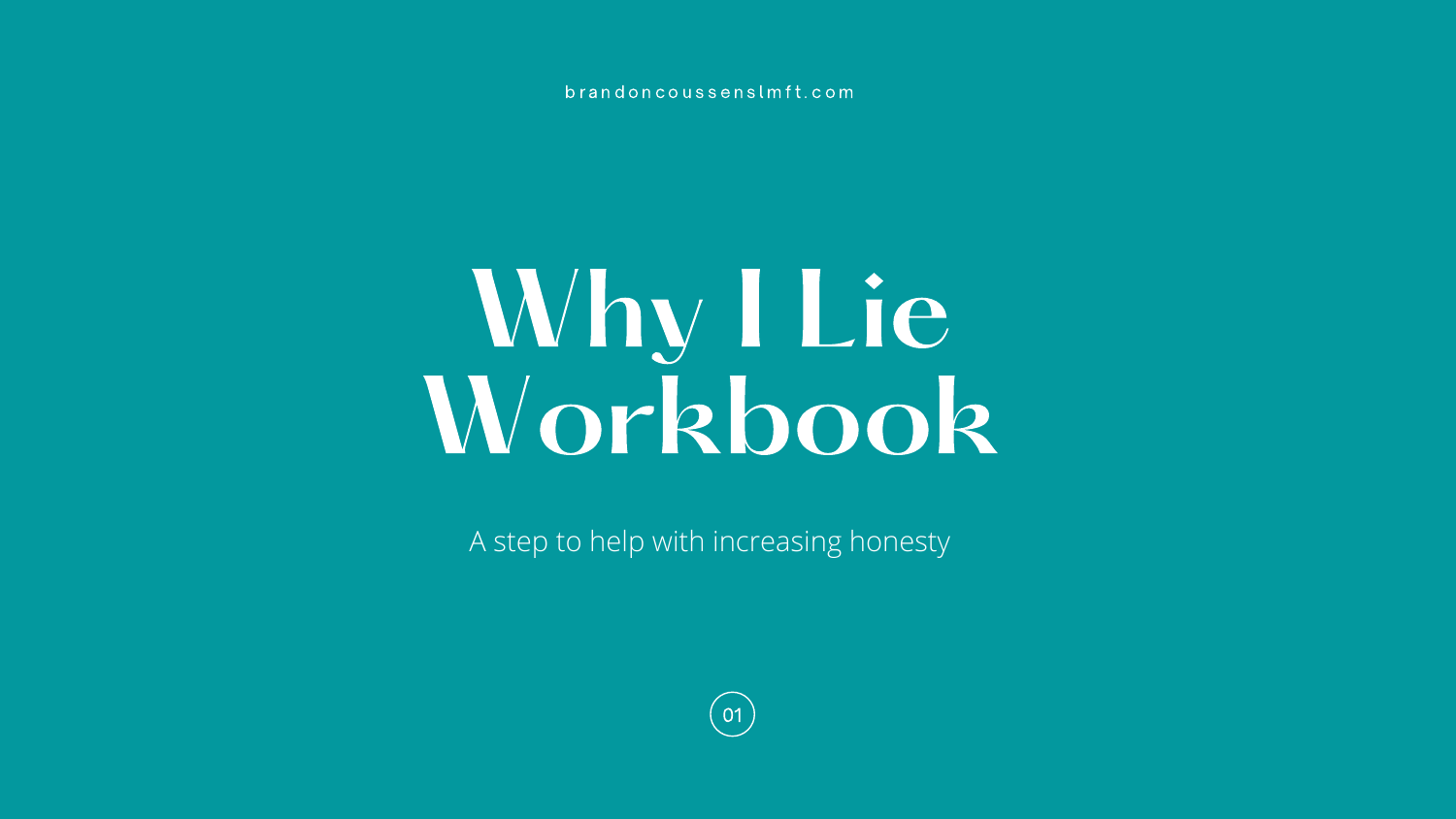# Why I Lie Workbook

A step to help with increasing honesty

b r a n d o n c o u s s e n s l m f t . c o m

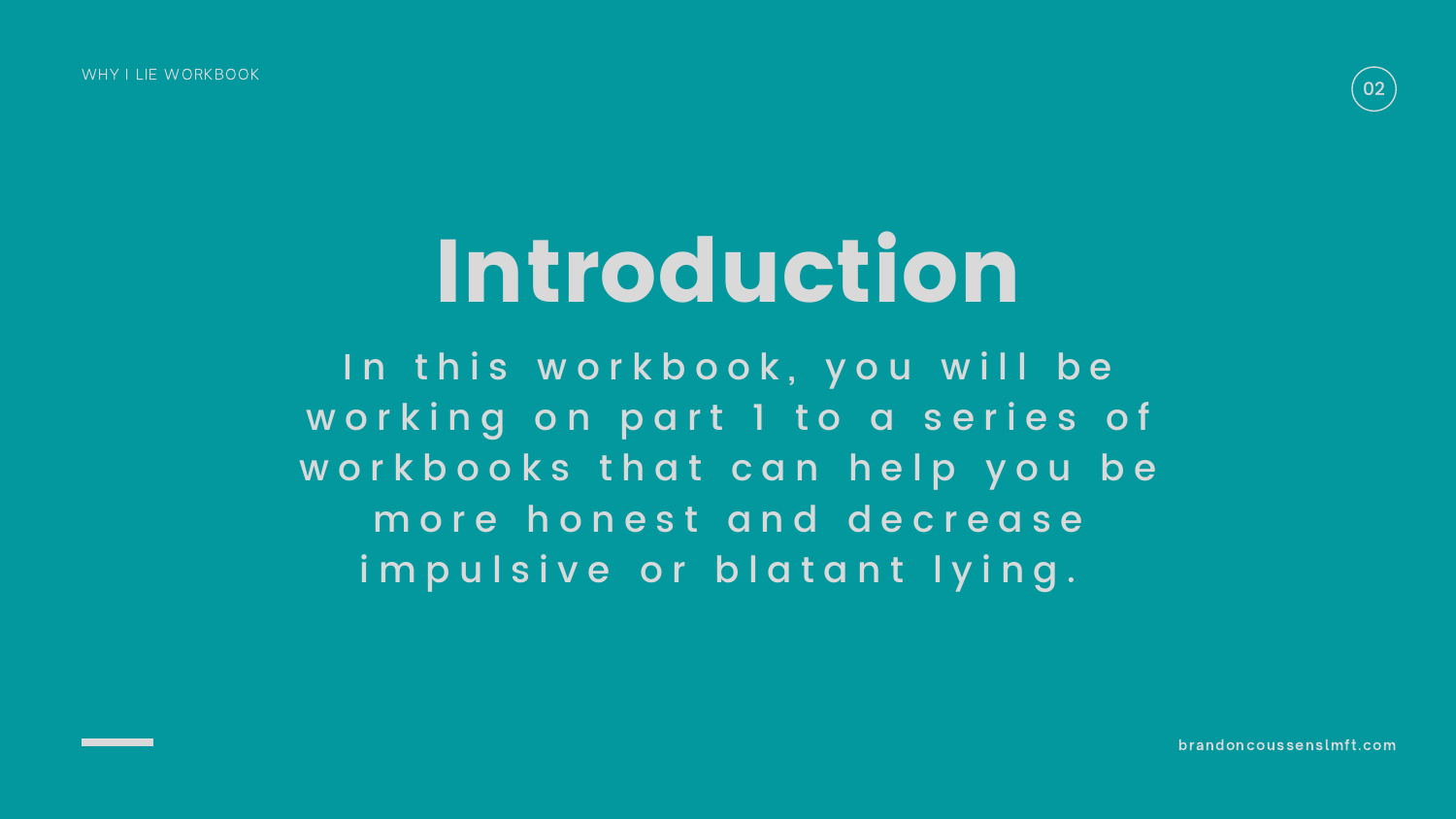## Introduction

In this workbook, you will be working on part 1 to a series of workbooks that can help you be more honest and decrease impulsive or blatant lying.

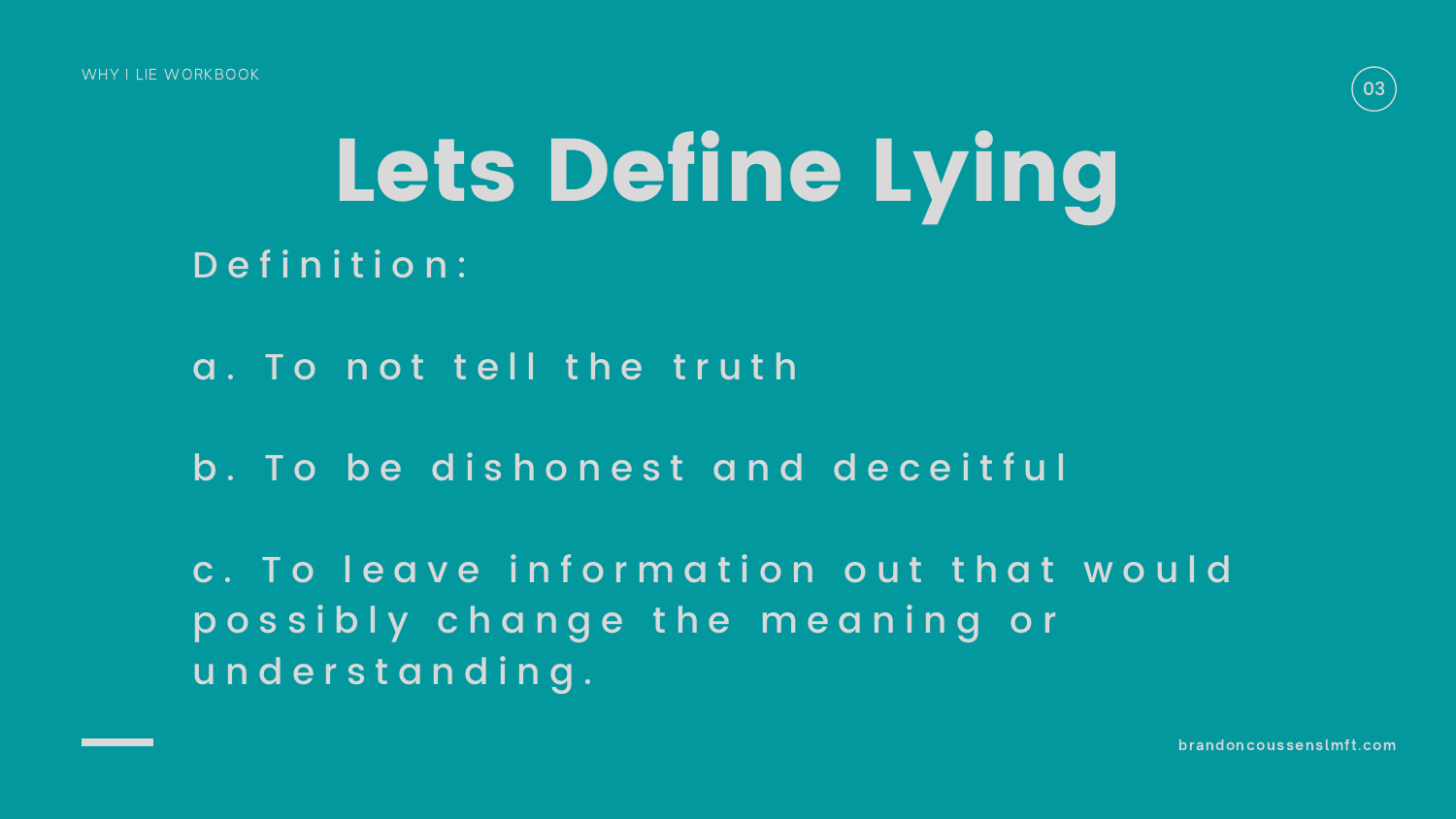c. To leave information out that would p o s s i b l y c h a n g e t h e m e a n i n g o r u n d e r s t a n d i n g .

WHY I LIE WORKBOOK

## Lets Define Lying Definition:

- a. To not tell the truth
- b. To be dishonest and deceitful

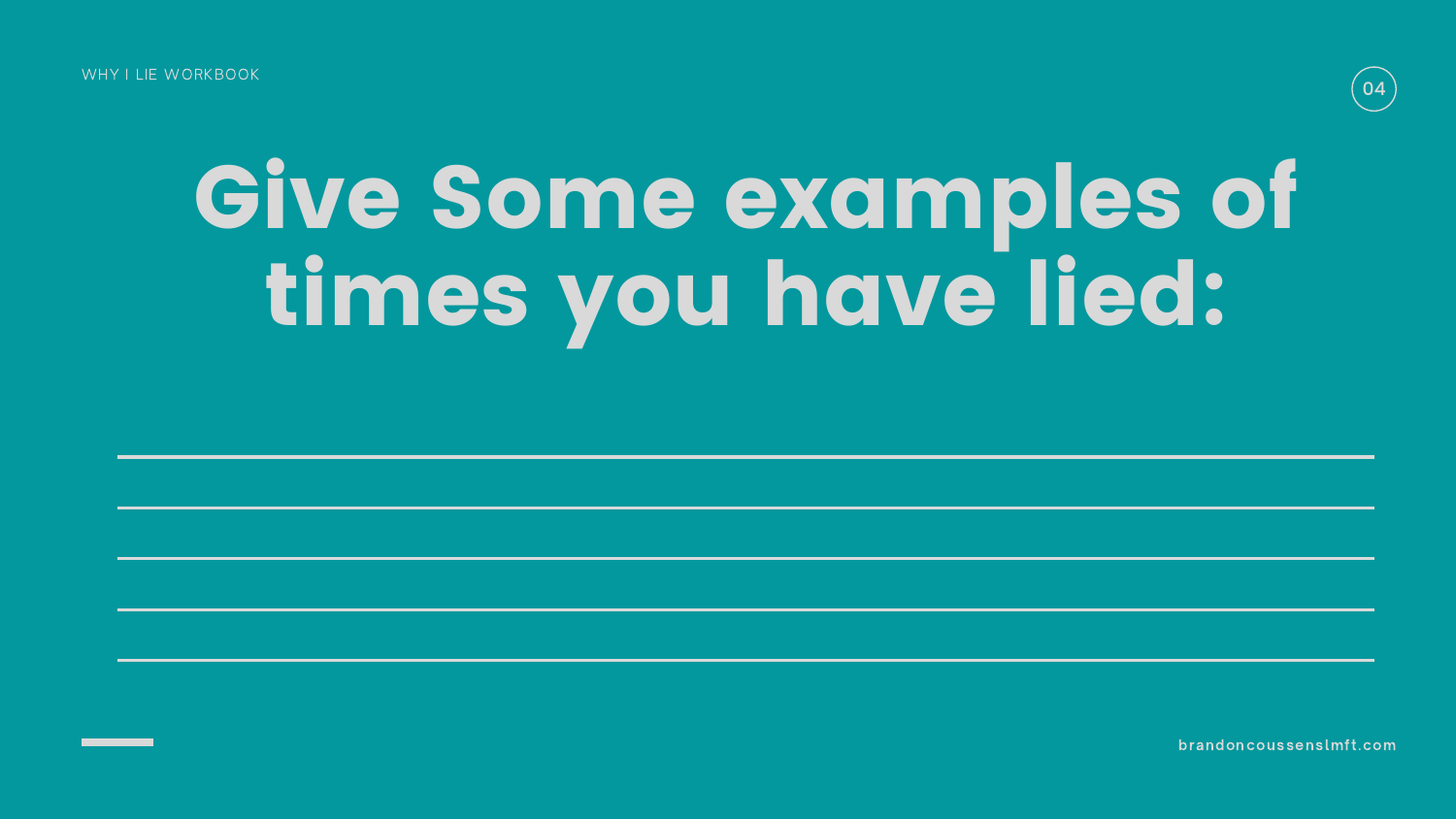# Give Some examples of times you have lied:

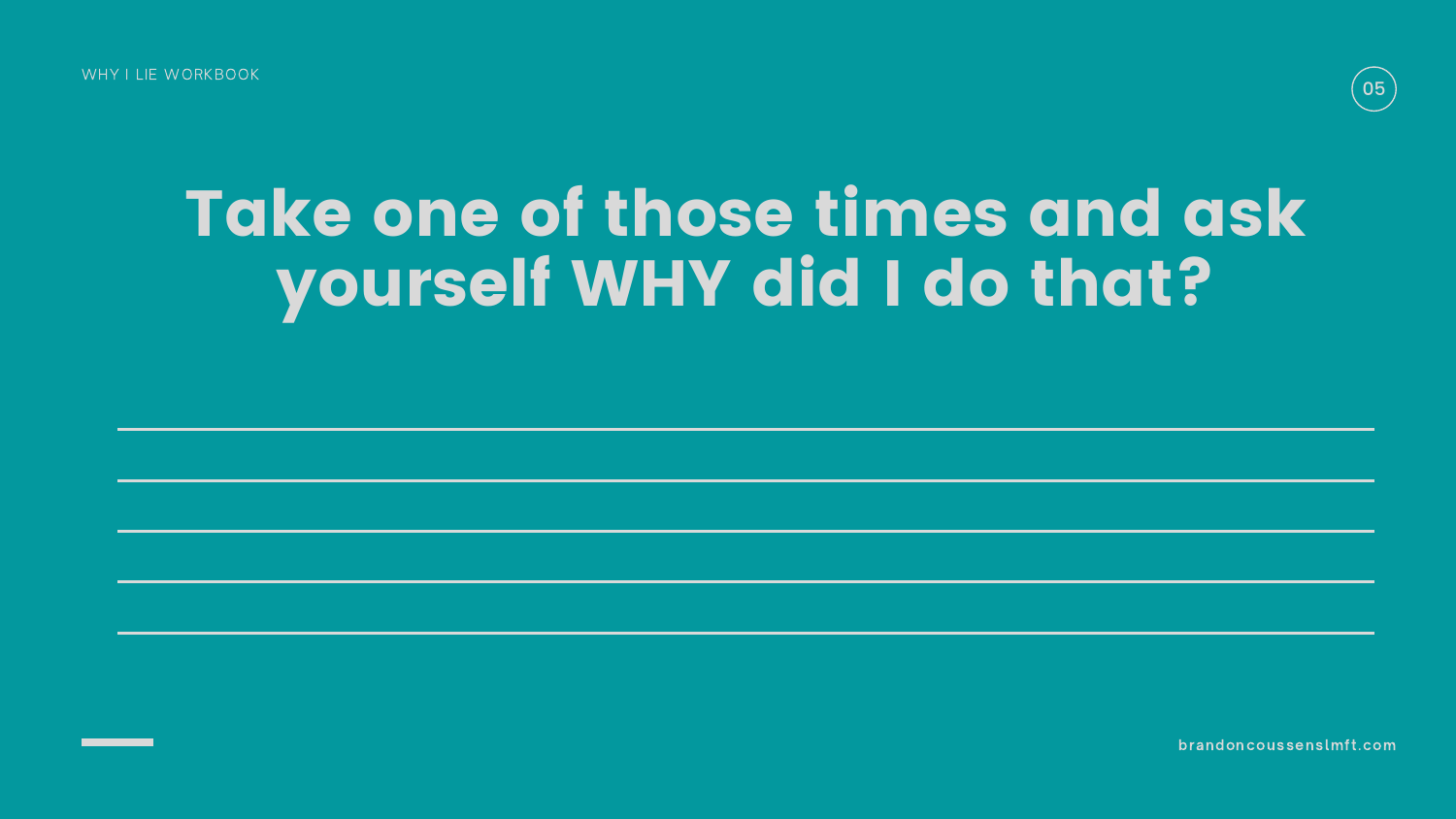### Take one of those times and ask yourself WHY did I do that?

WHY I LIE WORKBOOK

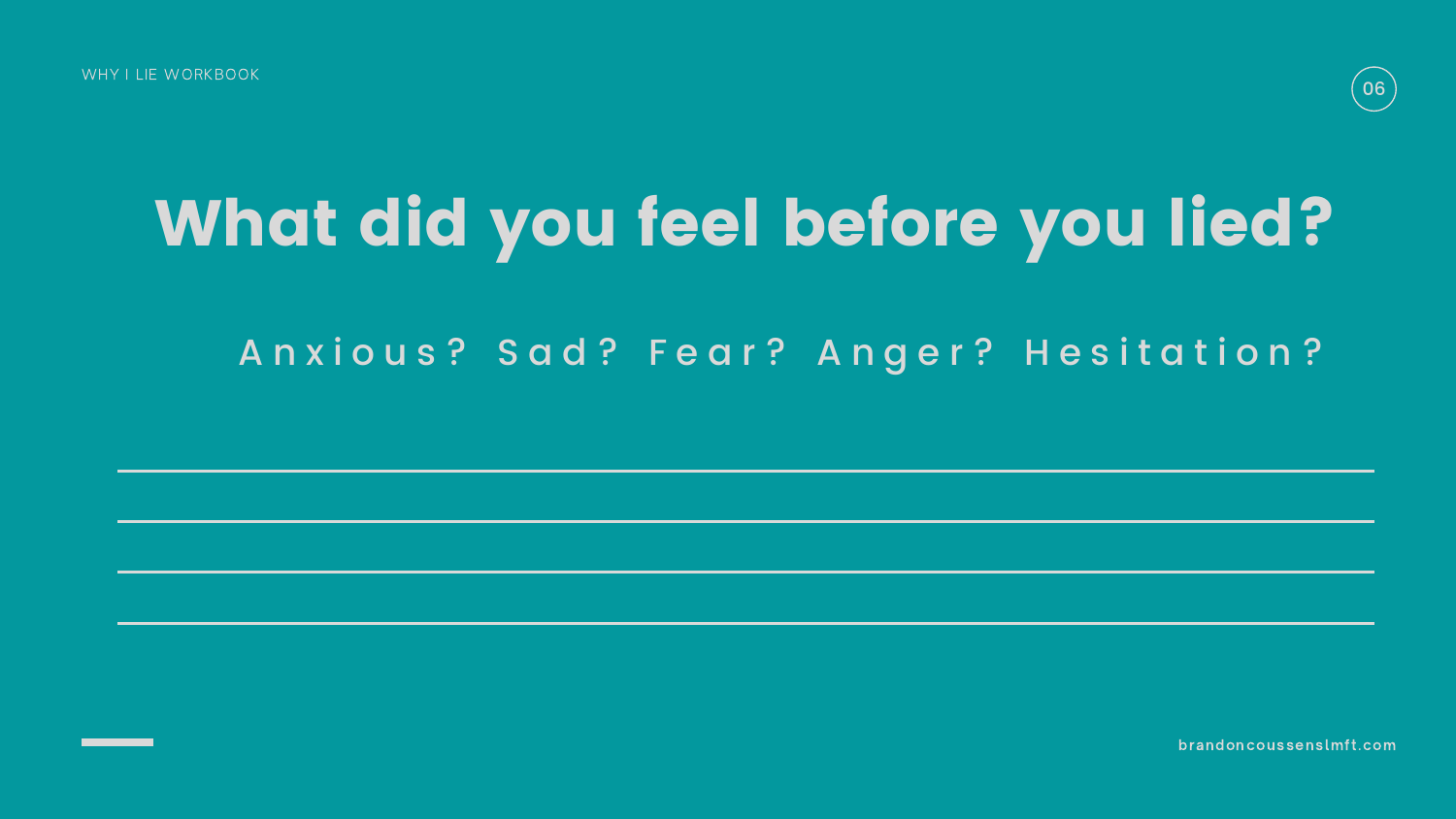WHY I LIE WORKBOOK

## What did you feel before you lied? Anxious? Sad? Fear? Anger? Hesitation?

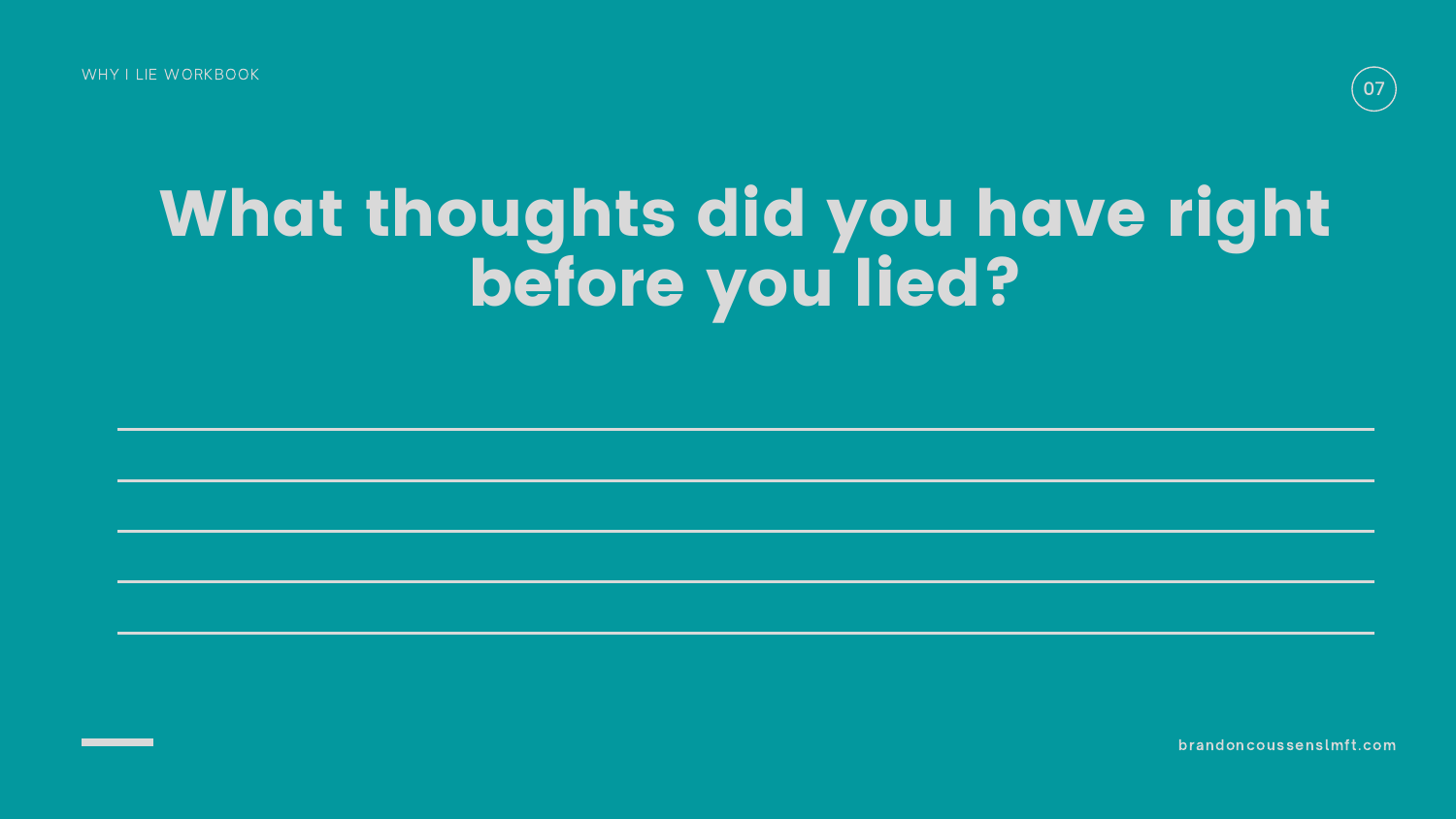## What thoughts did you have right before you lied?

WHY I LIE WORKBOOK

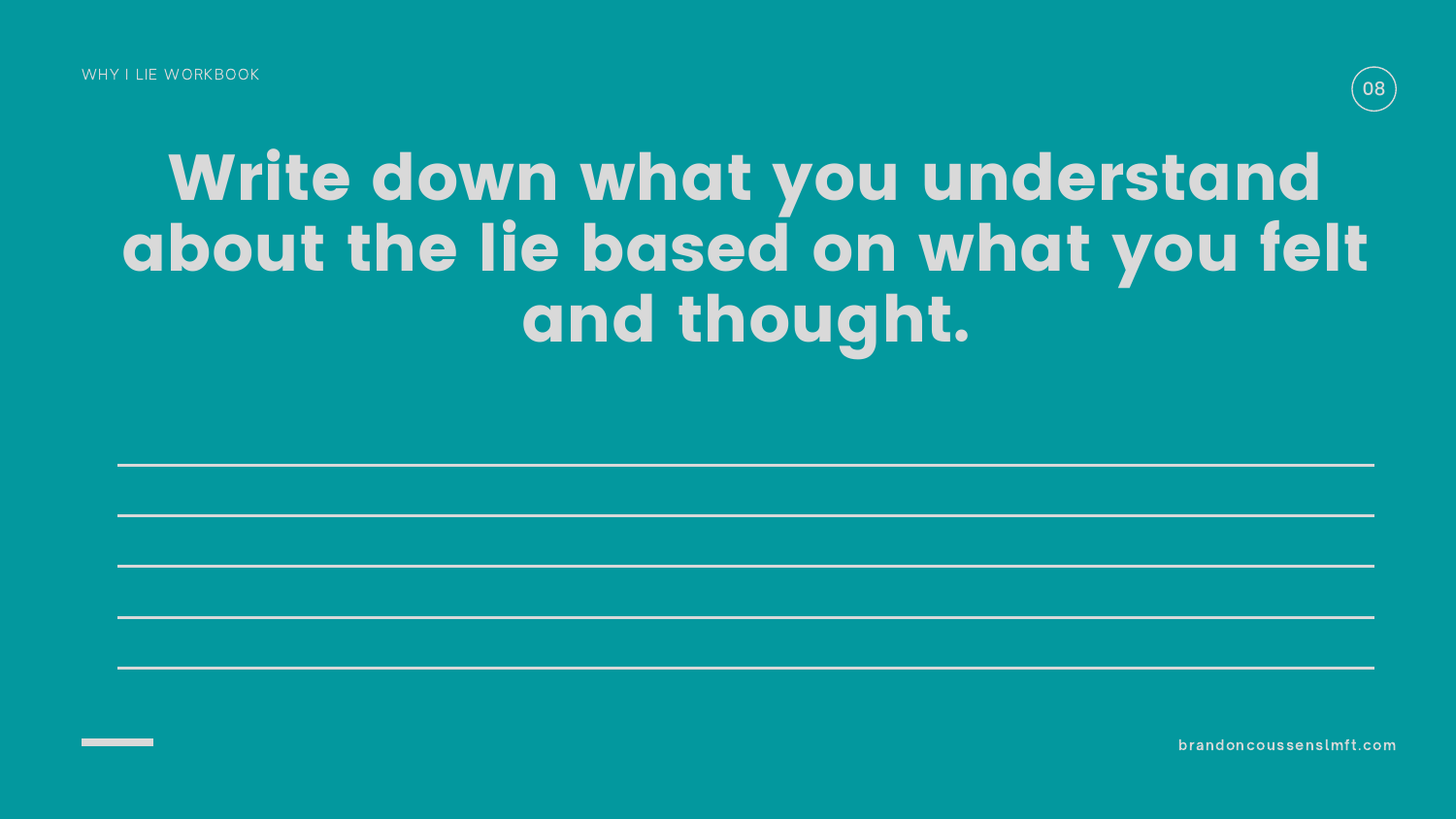### Write down what you understand about the lie based on what you felt and thought.

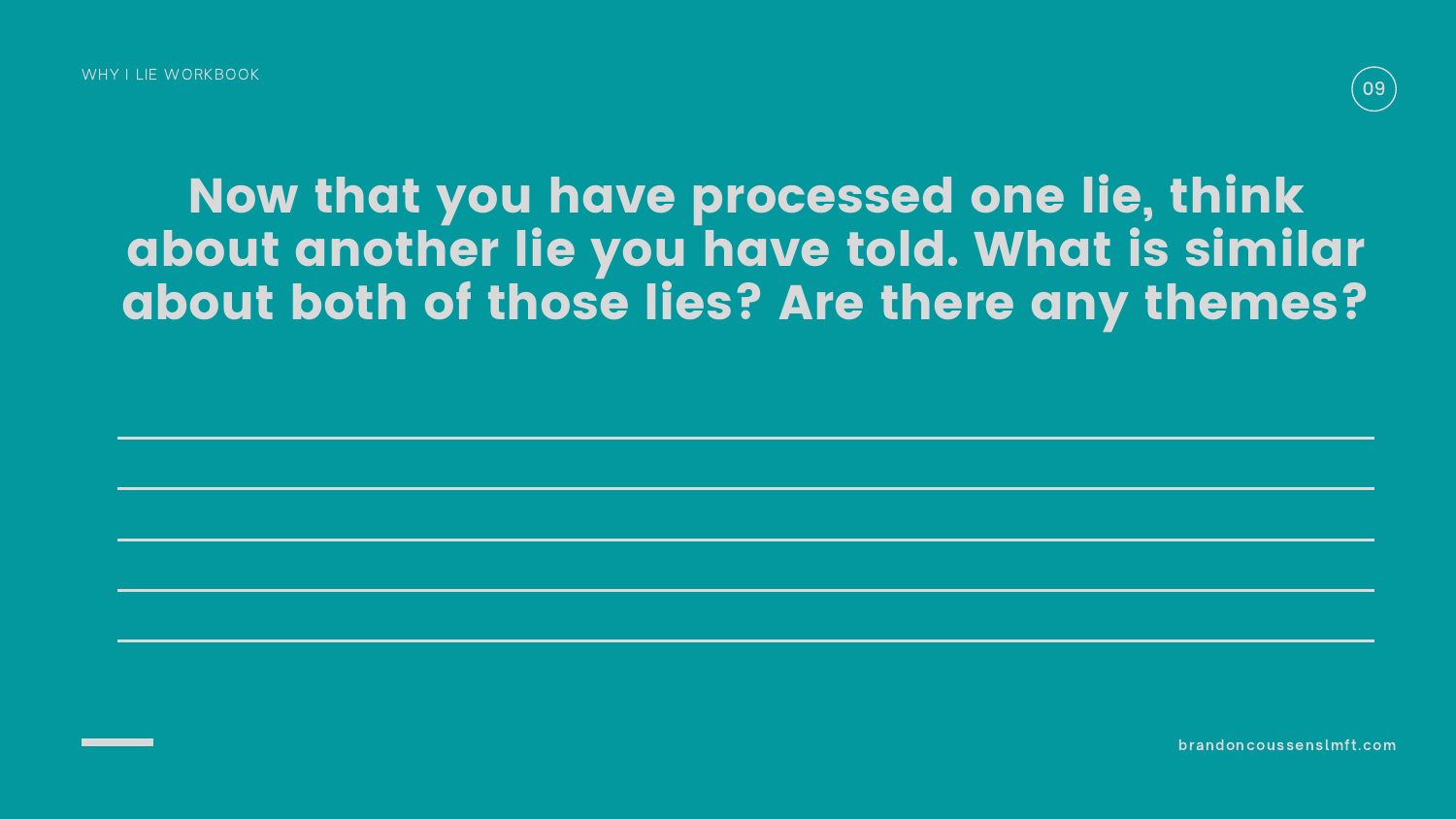WHY I LIF WORKBOOK

### Now that you have processed one lie, think about another lie you have told. What is similar about both of those lies? Are there any themes?